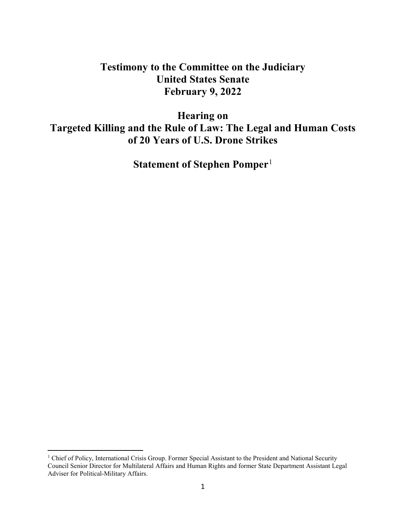# **Testimony to the Committee on the Judiciary United States Senate February 9, 2022**

**Hearing on Targeted Killing and the Rule of Law: The Legal and Human Costs of 20 Years of U.S. Drone Strikes**

**Statement of Stephen Pomper**[1](#page-0-0)

<span id="page-0-0"></span><sup>&</sup>lt;sup>1</sup> Chief of Policy, International Crisis Group. Former Special Assistant to the President and National Security Council Senior Director for Multilateral Affairs and Human Rights and former State Department Assistant Legal Adviser for Political-Military Affairs.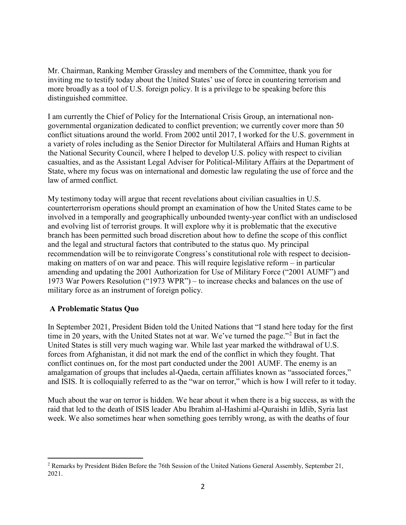Mr. Chairman, Ranking Member Grassley and members of the Committee, thank you for inviting me to testify today about the United States' use of force in countering terrorism and more broadly as a tool of U.S. foreign policy. It is a privilege to be speaking before this distinguished committee.

I am currently the Chief of Policy for the International Crisis Group, an international nongovernmental organization dedicated to conflict prevention; we currently cover more than 50 conflict situations around the world. From 2002 until 2017, I worked for the U.S. government in a variety of roles including as the Senior Director for Multilateral Affairs and Human Rights at the National Security Council, where I helped to develop U.S. policy with respect to civilian casualties, and as the Assistant Legal Adviser for Political-Military Affairs at the Department of State, where my focus was on international and domestic law regulating the use of force and the law of armed conflict.

My testimony today will argue that recent revelations about civilian casualties in U.S. counterterrorism operations should prompt an examination of how the United States came to be involved in a temporally and geographically unbounded twenty-year conflict with an undisclosed and evolving list of terrorist groups. It will explore why it is problematic that the executive branch has been permitted such broad discretion about how to define the scope of this conflict and the legal and structural factors that contributed to the status quo. My principal recommendation will be to reinvigorate Congress's constitutional role with respect to decisionmaking on matters of on war and peace. This will require legislative reform – in particular amending and updating the 2001 Authorization for Use of Military Force ("2001 AUMF") and 1973 War Powers Resolution ("1973 WPR") – to increase checks and balances on the use of military force as an instrument of foreign policy.

## **A Problematic Status Quo**

In September 2021, President Biden told the United Nations that "I stand here today for the first time in [2](#page-1-0)0 years, with the United States not at war. We've turned the page."<sup>2</sup> But in fact the United States is still very much waging war. While last year marked the withdrawal of U.S. forces from Afghanistan, it did not mark the end of the conflict in which they fought. That conflict continues on, for the most part conducted under the 2001 AUMF. The enemy is an amalgamation of groups that includes al-Qaeda, certain affiliates known as "associated forces," and ISIS. It is colloquially referred to as the "war on terror," which is how I will refer to it today.

Much about the war on terror is hidden. We hear about it when there is a big success, as with the raid that led to the death of ISIS leader Abu Ibrahim al-Hashimi al-Quraishi in Idlib, Syria last week. We also sometimes hear when something goes terribly wrong, as with the deaths of four

<span id="page-1-0"></span> $\overline{a}$ <sup>2</sup> Remarks by President Biden Before the 76th Session of the United Nations General Assembly, September 21, 2021.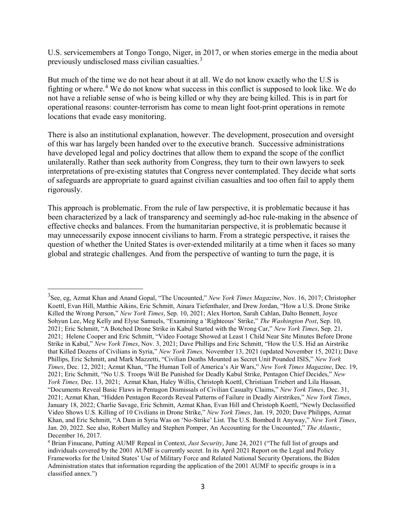U.S. servicemembers at Tongo Tongo, Niger, in 2017, or when stories emerge in the media about previously undisclosed mass civilian casualties.[3](#page-2-0)

But much of the time we do not hear about it at all. We do not know exactly who the U.S is fighting or where.[4](#page-2-1) We do not know what success in this conflict is supposed to look like. We do not have a reliable sense of who is being killed or why they are being killed. This is in part for operational reasons: counter-terrorism has come to mean light foot-print operations in remote locations that evade easy monitoring.

There is also an institutional explanation, however. The development, prosecution and oversight of this war has largely been handed over to the executive branch. Successive administrations have developed legal and policy doctrines that allow them to expand the scope of the conflict unilaterally. Rather than seek authority from Congress, they turn to their own lawyers to seek interpretations of pre-existing statutes that Congress never contemplated. They decide what sorts of safeguards are appropriate to guard against civilian casualties and too often fail to apply them rigorously.

This approach is problematic. From the rule of law perspective, it is problematic because it has been characterized by a lack of transparency and seemingly ad-hoc rule-making in the absence of effective checks and balances. From the humanitarian perspective, it is problematic because it may unnecessarily expose innocent civilians to harm. From a strategic perspective, it raises the question of whether the United States is over-extended militarily at a time when it faces so many global and strategic challenges. And from the perspective of wanting to turn the page, it is

<span id="page-2-0"></span><sup>3</sup> See, eg, Azmat Khan and Anand Gopal, ["The Uncounted,](https://www.nytimes.com/interactive/2017/11/16/magazine/uncounted-civilian-casualties-iraq-airstrikes.html)" *New York Times Magazine*, Nov. 16, 2017; Christopher Koettl, Evan Hill, Matthie Aikins, Eric Schmitt, Ainara Tiefenthaler, and Drew Jordan, ["How a U.S. Drone Strike](https://www.nytimes.com/video/world/asia/100000007963596/us-drone-attack-kabul-investigation.html)  [Killed the Wrong Person,](https://www.nytimes.com/video/world/asia/100000007963596/us-drone-attack-kabul-investigation.html)" *New York Times*, Sep. 10, 2021; Alex Horton, Sarah Cahlan, Dalto Bennett, Joyce Sohyun Lee, Meg Kelly and Elyse Samuels, ["Examining a 'Righteous' Strike,"](https://www.washingtonpost.com/investigations/interactive/2021/kabul-drone-strike-questions/) *The Washington Post*, Sep. 10, 2021; Eric Schmitt, ["A Botched Drone Strike in Kabul Started with the Wrong Car,](https://www.nytimes.com/2021/09/21/us/politics/drone-strike-kabul.html?searchResultPosition=8)" *New York Times*, Sep. 21, 2021; Helene Cooper and Eric Schmitt, ["Video Footage Showed at Least 1 Child Near Site Minutes Before Drone](https://www.nytimes.com/2021/11/03/us/politics/drone-strike-kabul-child.html)  [Strike in Kabul,](https://www.nytimes.com/2021/11/03/us/politics/drone-strike-kabul-child.html)" *New York Times*, Nov. 3, 2021; Dave Phillips and Eric Schmitt, "How the U.S. Hid an Airstrike that Killed Dozens of Civilians in Syria," *New York Times,* November 13, 2021 (updated November 15, 2021); Dave Phillips, Eric Schmitt, and Mark Mazzetti, ["Civilian Deaths Mounted as Secret Unit Pounded ISIS,](https://www.nytimes.com/2021/12/12/us/civilian-deaths-war-isis.html)" *New York Times*, Dec. 12, 2021; Azmat Khan, ["The Human Toll of America's Air Wars,](https://www.nytimes.com/2021/12/19/magazine/victims-airstrikes-middle-east-civilians.html)" *New York Times Magazine*, Dec. 19, 2021; Eric Schmitt, ["No U.S. Troops Will Be Punished for Deadly Kabul Strike,](https://www.nytimes.com/2021/12/13/us/politics/afghanistan-drone-strike.html) Pentagon Chief Decides," *New York Times,* Dec. 13, 2021; Azmat Khan, Haley Willis, Christoph Koettl, Christiaan Triebert and Lila Hassan, ["Documents Reveal Basic Flaws in Pentagon Dismissals of Civilian Casualty Claims,](https://www.nytimes.com/2021/12/31/us/pentagon-airstrikes-syria-iraq.html)" *New York Times*, Dec. 31, 2021; Azmat Khan, "Hidden Pentagon Records Reveal Patterns of Failure in Deadly Airstrikes," *New York Times*, January 18, 2022; Charlie Savage, Eric Schmitt, Azmat Khan, Evan Hill and Christoph Koettl, ["Newly Declassified](https://www.nytimes.com/2022/01/19/us/politics/afghanistan-drone-strike-video.html)  [Video Shows U.S. Killing of 10 Civilians in Drone Strike,](https://www.nytimes.com/2022/01/19/us/politics/afghanistan-drone-strike-video.html)" *New York Times*, Jan. 19, 2020; Dave Philipps, Azmat Khan, and Eric Schmitt, ["A Dam in Syria Was on 'No-Strike' List. The U.S. Bombed It Anyway,](https://www.nytimes.com/2022/01/20/us/airstrike-us-isis-dam.html)" *New York Times*, Jan. 20, 2022. See also, Robert Malley and Stephen Pomper, An Accounting for the Uncounted," *The Atlantic*, December 16, 2017.

<span id="page-2-1"></span><sup>4</sup> Brian Finucane, Putting AUMF Repeal in Context, *Just Security*, June 24, 2021 ("The full list of groups and individuals covered by the 2001 AUMF is currently secret. In its April 2021 Report on the Legal and Policy Frameworks for the United States' Use of Military Force and Related National Security Operations, the Biden Administration states that information regarding the application of the 2001 AUMF to specific groups is in a classified annex.")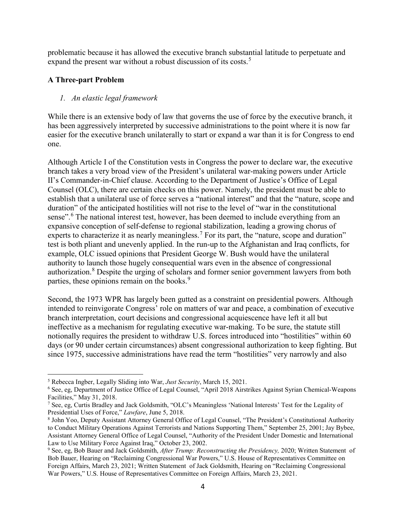problematic because it has allowed the executive branch substantial latitude to perpetuate and expand the present war without a robust discussion of its costs.<sup>[5](#page-3-0)</sup>

## **A Three-part Problem**

 $\overline{a}$ 

#### *1. An elastic legal framework*

While there is an extensive body of law that governs the use of force by the executive branch, it has been aggressively interpreted by successive administrations to the point where it is now far easier for the executive branch unilaterally to start or expand a war than it is for Congress to end one.

Although Article I of the Constitution vests in Congress the power to declare war, the executive branch takes a very broad view of the President's unilateral war-making powers under Article II's Commander-in-Chief clause. According to the Department of Justice's Office of Legal Counsel (OLC), there are certain checks on this power. Namely, the president must be able to establish that a unilateral use of force serves a "national interest" and that the "nature, scope and duration" of the anticipated hostilities will not rise to the level of "war in the constitutional sense".<sup>[6](#page-3-1)</sup> The national interest test, however, has been deemed to include everything from an expansive conception of self-defense to regional stabilization, leading a growing chorus of experts to characterize it as nearly meaningless.<sup>[7](#page-3-2)</sup> For its part, the "nature, scope and duration" test is both pliant and unevenly applied. In the run-up to the Afghanistan and Iraq conflicts, for example, OLC issued opinions that President George W. Bush would have the unilateral authority to launch those hugely consequential wars even in the absence of congressional authorization.[8](#page-3-3) Despite the urging of scholars and former senior government lawyers from both parties, these opinions remain on the books.<sup>[9](#page-3-4)</sup>

Second, the 1973 WPR has largely been gutted as a constraint on presidential powers. Although intended to reinvigorate Congress' role on matters of war and peace, a combination of executive branch interpretation, court decisions and congressional acquiescence have left it all but ineffective as a mechanism for regulating executive war-making. To be sure, the statute still notionally requires the president to withdraw U.S. forces introduced into "hostilities" within 60 days (or 90 under certain circumstances) absent congressional authorization to keep fighting. But since 1975, successive administrations have read the term "hostilities" very narrowly and also

<span id="page-3-0"></span><sup>5</sup> Rebecca Ingber, Legally Sliding into War, *Just Security*, March 15, 2021.

<span id="page-3-1"></span><sup>6</sup> See, eg, Department of Justice Office of Legal Counsel, "April 2018 Airstrikes Against Syrian Chemical-Weapons Facilities," May 31, 2018.

<span id="page-3-2"></span><sup>7</sup> See, eg, Curtis Bradley and Jack Goldsmith, "OLC's Meaningless 'National Interests' Test for the Legality of Presidential Uses of Force," *Lawfare*, June 5, 2018.

<span id="page-3-3"></span><sup>8</sup> John Yoo, Deputy Assistant Attorney General Office of Legal Counsel, "The President's Constitutional Authority to Conduct Military Operations Against Terrorists and Nations Supporting Them," September 25, 2001; Jay Bybee, Assistant Attorney General Office of Legal Counsel, "Authority of the President Under Domestic and International Law to Use Military Force Against Iraq," October 23, 2002.

<span id="page-3-4"></span><sup>9</sup> See, eg, Bob Bauer and Jack Goldsmith, *After Trump: Reconstructing the Presidency,* 2020; Written Statement of Bob Bauer, Hearing on "Reclaiming Congressional War Powers," U.S. House of Representatives Committee on Foreign Affairs, March 23, 2021; Written Statement of Jack Goldsmith, Hearing on "Reclaiming Congressional War Powers," U.S. House of Representatives Committee on Foreign Affairs, March 23, 2021.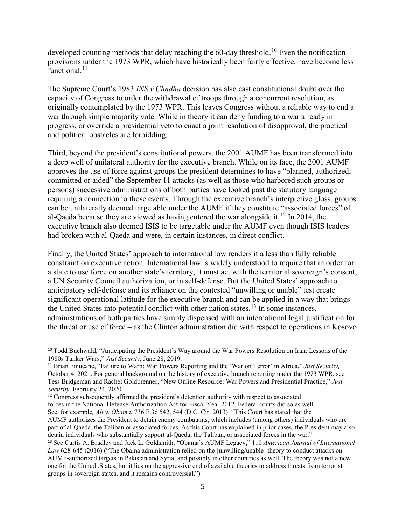developed counting methods that delay reaching the 60-day threshold.<sup>[10](#page-4-0)</sup> Even the notification provisions under the 1973 WPR, which have historically been fairly effective, have become less functional.<sup>[11](#page-4-1)</sup>

The Supreme Court's 1983 *INS v Chadha* decision has also cast constitutional doubt over the capacity of Congress to order the withdrawal of troops through a concurrent resolution, as originally contemplated by the 1973 WPR. This leaves Congress without a reliable way to end a war through simple majority vote. While in theory it can deny funding to a war already in progress, or override a presidential veto to enact a joint resolution of disapproval, the practical and political obstacles are forbidding.

Third, beyond the president's constitutional powers, the 2001 AUMF has been transformed into a deep well of unilateral authority for the executive branch. While on its face, the 2001 AUMF approves the use of force against groups the president determines to have "planned, authorized, committed or aided" the September 11 attacks (as well as those who harbored such groups or persons) successive administrations of both parties have looked past the statutory language requiring a connection to those events. Through the executive branch's interpretive gloss, groups can be unilaterally deemed targetable under the AUMF if they constitute "associated forces" of al-Qaeda because they are viewed as having entered the war alongside it.<sup>[12](#page-4-2)</sup> In 2014, the executive branch also deemed ISIS to be targetable under the AUMF even though ISIS leaders had broken with al-Qaeda and were, in certain instances, in direct conflict.

Finally, the United States' approach to international law renders it a less than fully reliable constraint on executive action. International law is widely understood to require that in order for a state to use force on another state's territory, it must act with the territorial sovereign's consent, a UN Security Council authorization, or in self-defense. But the United States' approach to anticipatory self-defense and its reliance on the contested "unwilling or unable" test create significant operational latitude for the executive branch and can be applied in a way that brings the United States into potential conflict with other nation states.<sup>[13](#page-4-3)</sup> In some instances, administrations of both parties have simply dispensed with an international legal justification for the threat or use of force – as the Clinton administration did with respect to operations in Kosovo

<span id="page-4-2"></span><sup>12</sup> Congress subsequently affirmed the president's detention authority with respect to associated forces in the National Defense Authorization Act for Fiscal Year 2012. Federal courts did so as well. See, for example*, Ali v. Obama*, 736 F.3d 542, 544 (D.C. Cir. 2013). "This Court has stated that the AUMF authorizes the President to detain enemy combatants, which includes (among others) individuals who are

<span id="page-4-0"></span> <sup>10</sup> Todd Buchwald, "Anticipating the President's Way around the War Powers Resolution on Iran: Lessons of the 1980s Tanker Wars," *Just Security*, June 28, 2019.<br><sup>11</sup> Brian Finucane, "Failure to Warn: War Powers Reporting and the 'War on Terror' in Africa," *Just Security*,

<span id="page-4-1"></span>October 4, 2021. For general background on the history of executive branch reporting under the 1973 WPR, see Tess Bridgeman and Rachel Goldbrenner, "New Online Resource: War Powers and Presidential Practice," *Just Security,* February 24, 2020.

part of al-Qaeda, the Taliban or associated forces. As this Court has explained in prior cases, the President may also detain individuals who substantially support al-Qaeda, the Taliban, or associated forces in the war." <sup>13</sup> See Curtis A. Bradley and Jack L. Goldsmith, "Obama's AUMF Legacy," 110 *American Journal of International*

<span id="page-4-3"></span>*Law* 628-645 (2016) ("The Obama administration relied on the [unwilling/unable] theory to conduct attacks on AUMF-authorized targets in Pakistan and Syria, and possibly in other countries as well. The theory was not a new one for the United .States, but it lies on the aggressive end of available theories to address threats from terrorist groups in sovereign states, and it remains controversial.")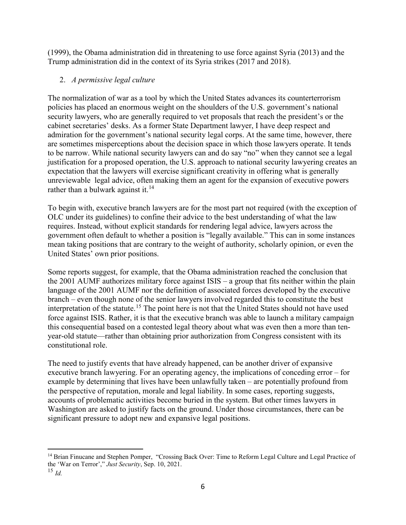(1999), the Obama administration did in threatening to use force against Syria (2013) and the Trump administration did in the context of its Syria strikes (2017 and 2018).

## 2. *A permissive legal culture*

The normalization of war as a tool by which the United States advances its counterterrorism policies has placed an enormous weight on the shoulders of the U.S. government's national security lawyers, who are generally required to vet proposals that reach the president's or the cabinet secretaries' desks. As a former State Department lawyer, I have deep respect and admiration for the government's national security legal corps. At the same time, however, there are sometimes misperceptions about the decision space in which those lawyers operate. It tends to be narrow. While national security lawyers can and do say "no" when they cannot see a legal justification for a proposed operation, the U.S. approach to national security lawyering creates an expectation that the lawyers will exercise significant creativity in offering what is generally unreviewable legal advice, often making them an agent for the expansion of executive powers rather than a bulwark against it.<sup>[14](#page-5-0)</sup>

To begin with, executive branch lawyers are for the most part not required (with the exception of OLC under its guidelines) to confine their advice to the best understanding of what the law requires. Instead, without explicit standards for rendering legal advice, lawyers across the government often default to whether a position is "legally available." This can in some instances mean taking positions that are contrary to the weight of authority, scholarly opinion, or even the United States' own prior positions.

Some reports suggest, for example, that the Obama administration reached the conclusion that the 2001 AUMF authorizes military force against ISIS – a group that fits neither within the plain language of the 2001 AUMF nor the definition of associated forces developed by the executive branch – even though none of the senior lawyers involved regarded this to constitute the best interpretation of the statute.[15](#page-5-1) The point here is not that the United States should not have used force against ISIS. Rather, it is that the executive branch was able to launch a military campaign this consequential based on a contested legal theory about what was even then a more than tenyear-old statute—rather than obtaining prior authorization from Congress consistent with its constitutional role.

The need to justify events that have already happened, can be another driver of expansive executive branch lawyering. For an operating agency, the implications of conceding error – for example by determining that lives have been unlawfully taken – are potentially profound from the perspective of reputation, morale and legal liability. In some cases, reporting suggests, accounts of problematic activities become buried in the system. But other times lawyers in Washington are asked to justify facts on the ground. Under those circumstances, there can be significant pressure to adopt new and expansive legal positions.

<span id="page-5-0"></span><sup>&</sup>lt;sup>14</sup> Brian Finucane and Stephen Pomper, "Crossing Back Over: Time to Reform Legal Culture and Legal Practice of the 'War on Terror'," *Just Security*, Sep. 10, 2021.

<span id="page-5-1"></span><sup>15</sup> *Id.*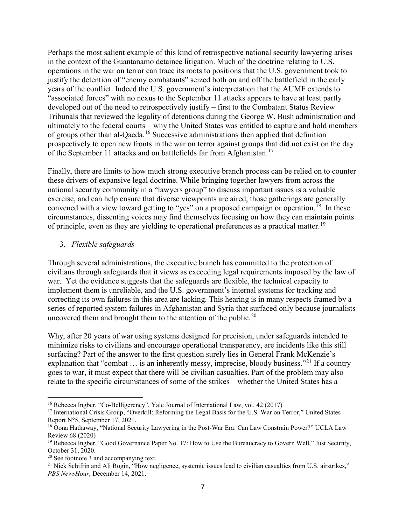Perhaps the most salient example of this kind of retrospective national security lawyering arises in the context of the Guantanamo detainee litigation. Much of the doctrine relating to U.S. operations in the war on terror can trace its roots to positions that the U.S. government took to justify the detention of "enemy combatants" seized both on and off the battlefield in the early years of the conflict. Indeed the U.S. government's interpretation that the AUMF extends to "associated forces" with no nexus to the September 11 attacks appears to have at least partly developed out of the need to retrospectively justify – first to the Combatant Status Review Tribunals that reviewed the legality of detentions during the George W. Bush administration and ultimately to the federal courts – why the United States was entitled to capture and hold members of groups other than al-Qaeda.[16](#page-6-0) Successive administrations then applied that definition prospectively to open new fronts in the war on terror against groups that did not exist on the day of the September 11 attacks and on battlefields far from Afghanistan.<sup>[17](#page-6-1)</sup>

Finally, there are limits to how much strong executive branch process can be relied on to counter these drivers of expansive legal doctrine. While bringing together lawyers from across the national security community in a "lawyers group" to discuss important issues is a valuable exercise, and can help ensure that diverse viewpoints are aired, those gatherings are generally convened with a view toward getting to "yes" on a proposed campaign or operation.<sup>[18](#page-6-2)</sup> In these circumstances, dissenting voices may find themselves focusing on how they can maintain points of principle, even as they are yielding to operational preferences as a practical matter.<sup>[19](#page-6-3)</sup>

## 3. *Flexible safeguards*

Through several administrations, the executive branch has committed to the protection of civilians through safeguards that it views as exceeding legal requirements imposed by the law of war. Yet the evidence suggests that the safeguards are flexible, the technical capacity to implement them is unreliable, and the U.S. government's internal systems for tracking and correcting its own failures in this area are lacking. This hearing is in many respects framed by a series of reported system failures in Afghanistan and Syria that surfaced only because journalists uncovered them and brought them to the attention of the public.<sup>[20](#page-6-4)</sup>

Why, after 20 years of war using systems designed for precision, under safeguards intended to minimize risks to civilians and encourage operational transparency, are incidents like this still surfacing? Part of the answer to the first question surely lies in General Frank McKenzie's explanation that "combat ... is an inherently messy, imprecise, bloody business."<sup>[21](#page-6-5)</sup> If a country goes to war, it must expect that there will be civilian casualties. Part of the problem may also relate to the specific circumstances of some of the strikes – whether the United States has a

<sup>&</sup>lt;sup>16</sup> Rebecca Ingber, "Co-Belligerency", Yale Journal of International Law, vol. 42 (2017)

<span id="page-6-1"></span><span id="page-6-0"></span><sup>&</sup>lt;sup>17</sup> International Crisis Group, "Overkill: Reforming the Legal Basis for the U.S. War on Terror," United States Report N°5, September 17, 2021.

<span id="page-6-2"></span><sup>18</sup> Oona Hathaway, "National Security Lawyering in the Post-War Era: Can Law Constrain Power?" UCLA Law Review 68 (2020)

<span id="page-6-3"></span><sup>&</sup>lt;sup>19</sup> Rebecca Ingber, "Good Governance Paper No. 17: How to Use the Bureaucracy to Govern Well," Just Security, October 31, 2020.<br><sup>20</sup> See footnote 3 and accompanying text.

<span id="page-6-5"></span><span id="page-6-4"></span><sup>&</sup>lt;sup>21</sup> Nick Schifrin and Ali Rogin, "How negligence, systemic issues lead to civilian casualties from U.S. airstrikes," *PBS NewsHour*, December 14, 2021.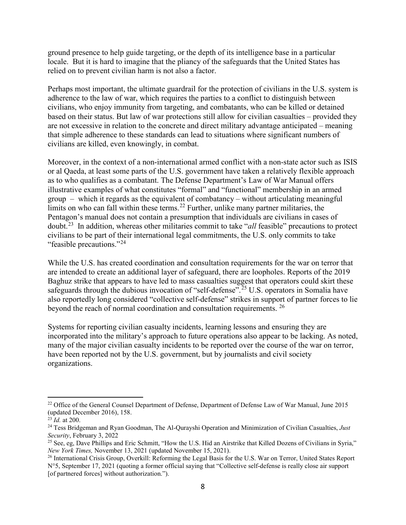ground presence to help guide targeting, or the depth of its intelligence base in a particular locale. But it is hard to imagine that the pliancy of the safeguards that the United States has relied on to prevent civilian harm is not also a factor.

Perhaps most important, the ultimate guardrail for the protection of civilians in the U.S. system is adherence to the law of war, which requires the parties to a conflict to distinguish between civilians, who enjoy immunity from targeting, and combatants, who can be killed or detained based on their status. But law of war protections still allow for civilian casualties – provided they are not excessive in relation to the concrete and direct military advantage anticipated – meaning that simple adherence to these standards can lead to situations where significant numbers of civilians are killed, even knowingly, in combat.

Moreover, in the context of a non-international armed conflict with a non-state actor such as ISIS or al Qaeda, at least some parts of the U.S. government have taken a relatively flexible approach as to who qualifies as a combatant. The Defense Department's Law of War Manual offers illustrative examples of what constitutes "formal" and "functional" membership in an armed group – which it regards as the equivalent of combatancy – without articulating meaningful limits on who can fall within these terms.<sup>[22](#page-7-0)</sup> Further, unlike many partner militaries, the Pentagon's manual does not contain a presumption that individuals are civilians in cases of doubt.[23](#page-7-1) In addition, whereas other militaries commit to take "*all* feasible" precautions to protect civilians to be part of their international legal commitments, the U.S. only commits to take "feasible precautions."<sup>[24](#page-7-2)</sup>

While the U.S. has created coordination and consultation requirements for the war on terror that are intended to create an additional layer of safeguard, there are loopholes. Reports of the 2019 Baghuz strike that appears to have led to mass casualties suggest that operators could skirt these safeguards through the dubious invocation of "self-defense".<sup>[25](#page-7-3)</sup> U.S. operators in Somalia have also reportedly long considered "collective self-defense" strikes in support of partner forces to lie beyond the reach of normal coordination and consultation requirements. <sup>[26](#page-7-4)</sup>

Systems for reporting civilian casualty incidents, learning lessons and ensuring they are incorporated into the military's approach to future operations also appear to be lacking. As noted, many of the major civilian casualty incidents to be reported over the course of the war on terror, have been reported not by the U.S. government, but by journalists and civil society organizations.

<span id="page-7-0"></span><sup>&</sup>lt;sup>22</sup> Office of the General Counsel Department of Defense, Department of Defense Law of War Manual, June 2015 (updated December 2016), 158.

<span id="page-7-1"></span><sup>23</sup> *Id.* at 200.

<span id="page-7-2"></span><sup>24</sup> Tess Bridgeman and Ryan Goodman, The Al-Qurayshi Operation and Minimization of Civilian Casualties, *Just Security*, February 3, 2022

<span id="page-7-3"></span><sup>&</sup>lt;sup>25</sup> See, eg, Dave Phillips and Eric Schmitt, "How the U.S. Hid an Airstrike that Killed Dozens of Civilians in Syria," *New York Times,* November 13, 2021 (updated November 15, 2021).

<span id="page-7-4"></span><sup>&</sup>lt;sup>26</sup> International Crisis Group, Overkill: Reforming the Legal Basis for the U.S. War on Terror, United States Report N°5, September 17, 2021 (quoting a former official saying that "Collective self-defense is really close air support [of partnered forces] without authorization.").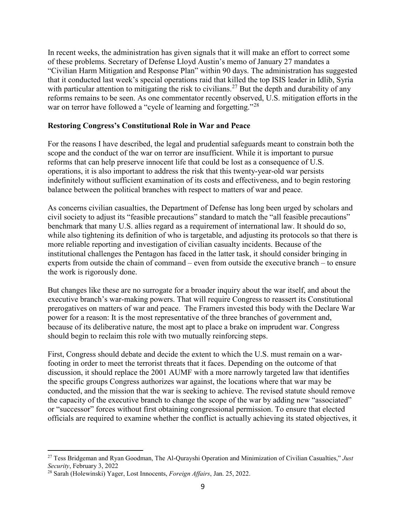In recent weeks, the administration has given signals that it will make an effort to correct some of these problems. Secretary of Defense Lloyd Austin's memo of January 27 mandates a "Civilian Harm Mitigation and Response Plan" within 90 days. The administration has suggested that it conducted last week's special operations raid that killed the top ISIS leader in Idlib, Syria with particular attention to mitigating the risk to civilians.<sup>[27](#page-8-0)</sup> But the depth and durability of any reforms remains to be seen. As one commentator recently observed, U.S. mitigation efforts in the war on terror have followed a "cycle of learning and forgetting."<sup>28</sup>

#### **Restoring Congress's Constitutional Role in War and Peace**

For the reasons I have described, the legal and prudential safeguards meant to constrain both the scope and the conduct of the war on terror are insufficient. While it is important to pursue reforms that can help preserve innocent life that could be lost as a consequence of U.S. operations, it is also important to address the risk that this twenty-year-old war persists indefinitely without sufficient examination of its costs and effectiveness, and to begin restoring balance between the political branches with respect to matters of war and peace.

As concerns civilian casualties, the Department of Defense has long been urged by scholars and civil society to adjust its "feasible precautions" standard to match the "all feasible precautions" benchmark that many U.S. allies regard as a requirement of international law. It should do so, while also tightening its definition of who is targetable, and adjusting its protocols so that there is more reliable reporting and investigation of civilian casualty incidents. Because of the institutional challenges the Pentagon has faced in the latter task, it should consider bringing in experts from outside the chain of command – even from outside the executive branch – to ensure the work is rigorously done.

But changes like these are no surrogate for a broader inquiry about the war itself, and about the executive branch's war-making powers. That will require Congress to reassert its Constitutional prerogatives on matters of war and peace. The Framers invested this body with the Declare War power for a reason: It is the most representative of the three branches of government and, because of its deliberative nature, the most apt to place a brake on imprudent war. Congress should begin to reclaim this role with two mutually reinforcing steps.

First, Congress should debate and decide the extent to which the U.S. must remain on a warfooting in order to meet the terrorist threats that it faces. Depending on the outcome of that discussion, it should replace the 2001 AUMF with a more narrowly targeted law that identifies the specific groups Congress authorizes war against, the locations where that war may be conducted, and the mission that the war is seeking to achieve. The revised statute should remove the capacity of the executive branch to change the scope of the war by adding new "associated" or "successor" forces without first obtaining congressional permission. To ensure that elected officials are required to examine whether the conflict is actually achieving its stated objectives, it

<span id="page-8-0"></span><sup>27</sup> Tess Bridgeman and Ryan Goodman, The Al-Qurayshi Operation and Minimization of Civilian Casualties," *Just Security*, February 3, 2022

<span id="page-8-1"></span><sup>28</sup> Sarah (Holewinski) Yager, Lost Innocents, *Foreign Affairs*, Jan. 25, 2022.